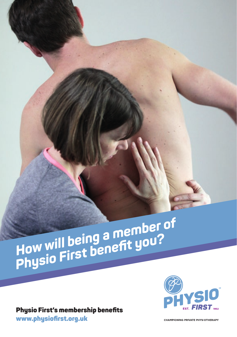# *How will being a member of Physio First benefit you?*

Physio First's membership benefits [www.physiofirst.org.uk](http://www.physiofirst.org.uk)



**CHAMPIONING PRIVATE PHYSIOTHERAPY**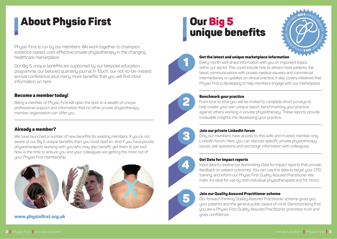# About Physio First

Physio First is run by our members. We work together to champion evidence-based, cost-effective private physiotherapy in the changing healthcare marketplace.

Our Big 5 unique benefits are supported by our bespoke education programme, our beloved quarterly journal *In Touch*, our not-to-be-missed annual conference, plus many more benefits that you will find more information on here.

### Become a member today!

Being a member of Physio First will open the door to a wealth of unique professional support and information that no other private physiotherapy member organisation can offer you.

## Already a member?

We have launched a number of new benefits for existing members. If you're not aware of our Big 5 unique benefits then you must read on. And if you have private physiotherapists working with you who may also benefit, get them to join too! Now is the time to ensure you and your colleagues are getting the most out of uour Phusio First membership.



[www.physiofirst.org.uk](http://www.physiofirst.org.uk)

# Our Big 5 **Our Big 5<br>unique benefits**





#### Get the latest and unique marketplace information

Every month we'll share information with you on important topics within our sector. This could include how to attract more patients, the latest communications with private medical insurers and commercial intermediaries, or updates on clinical practice. It also covers initiatives that Physio First is developing to help members engage with our marketplace.



#### Benchmark your practice

From time to time you will be invited to complete short surveys to help create your own unique report, benchmarking your practice against others working in private physiotherapy. These reports provide invaluable insights into developing your practice.



4

5

#### Join our private LinkedIn forum

Only our members have access to this safe and trusted, member only LinkedIn forum. Here, you can discuss specific private physiotherapy issues, ask questions and exchange information with colleagues.

#### Get Data for Impact reports

Input data to receive our illuminating Data for Impact reports that provide feedback on patient outcomes. You can use this data to target your CPD training, and inform our Physio First Quality Assured Practitioner kite mark. It's ideal for use by both individual physiotherapists and for clinics.

#### Join our Quality Assured Practitioner scheme

Our forward-thinking Quality Assured Practitioner scheme gives you, your patients and the general public peace of mind. Demonstrating that you are a Physio First Quality Assured Practitioner promotes trust and gives confidence.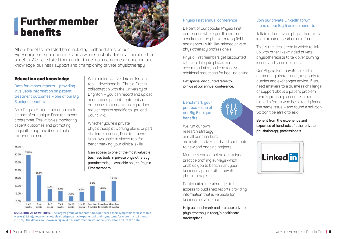# Further member **benefits**



With our innovative data collection tool – developed by Physio First in collaboration with the University of Brighton – you can record and upload anonymous patient treatment and outcomes that enable us to produce regular reports specific to you and

All our benefits are listed here including further details on our Big 5 unique member benefits and a whole host of additional membership benefits. We have listed them under three main categories: education and knowledge, business support and championing private physiotherapy.

your clinic.

Whether you're a private

physiotherapist working alone, or part of a large practice, Data for Impact is an invaluable business tool for

## Education and knowledge

**Data for Impact reports – providing invaluable information on patient treatment outcomes – one of our Big 5 unique benefits** 

As a Physio First member you could be part of our unique Data for Impact programme. This involves monitoring patient outcomes and promoting physiotherapy, and it could help further your career.



**DURATION OF SYMPTOMS:** The largest group of patients had experienced their symptoms for less than 2 **weeks (29.8%); however a notable sized group had experienced their symptoms for more than 12 months (13.1%). The details are shown in Figure 4. This information was not reported for 0.3% of the data.**

#### **Phusio First annual conference**

Be part of our popular Physio First conference where you'll hear top speakers in the physiotherapy field – and network with like-minded private physiotherapy professionals.

Physio First members get discounted rates on delegate places and accommodation, and can receive additional reductions for booking online.

**Get special discounted rates to join us at our annual conference.** 

**Benchmark your practice – one of our Big 5 unique benefits** 

We run our own research strategy and all our members are invited to take part and contribute to new and ongoing projects.

ဝ၂၂<br>| ဝ၂

Members can complete our unique practice profiling surveys which enables you to benchmark your business against other private phusiotherapists.

Participating members get full access to published reports providing information that is valuable for business development.

**Help us benchmark and promote private physiotherapy in today's healthcare marketplace.**

#### **Join our private LinkedIn forum – one of our Big 5 unique benefits**

Talk to other private phusiotherapists in our trusted member-only forum.

This is the ideal arena in which to link up with other like-minded private physiotherapists to talk over burning issues and share opinions.

Our Phusio First private LinkedIn community shares ideas, responds to queries and exchanges advice. If you need answers to a business challenge or support about a patient problem there's probably someone in our LinkedIn forum who has already faced the same issue – and found a solution. So don't be afraid to ask!

**Benefit from the experience and expertise of hundreds of other private physiotherapy professionals.**

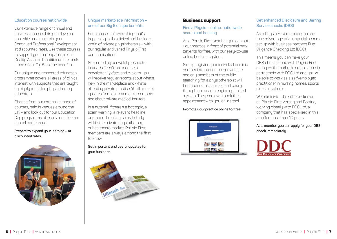#### **Education courses nationwide**

Our extensive range of clinical and business courses lets you develop your skills and maintain your Continued Professional Development at discounted rates. Use these courses to support your participation in our Quality Assured Practitioner kite mark – one of our Big 5 unique benefits.

Our unique and respected education programme covers all areas of clinical interest with subjects that are taught by highly regarded physiotherapy educators.

Choose from our extensive range of courses, held in venues around the UK – and look out for our Education Day programme offered alongside our annual conference.

**Prepare to expand your learning – at discounted rates.** 



#### **Unique marketplace information – one of our Big 5 unique benefits**

Keep abreast of everything that's happening in the clinical and business world of private physiotherapy – with our regular and varied Physio First communications.

Supported by our widely-respected journal *In Touch*, our members' newsletter *Update*, and e-alerts, you will receive regular reports about what's new in the marketplace and what's affecting private practice. You'll also get updates from our commercial contacts and about private medical insurers.

In a nutshell if there's a hot topic, a scam warning, a relevant headline or ground-breaking clinical study within the private physiotherapy or healthcare market, Physio First members are always among the first to know!

**Get important and useful updates for your business.**



#### Business support

#### **Find a Physio – online, nationwide search and booking**

As a Physio First member you can put your practice in front of potential new patients for free, with our easy-to-use online booking system.

Simply register your individual or clinic contact information on our website and any members of the public searching for a physiotherapist will find your details quickly and easily through our search engine optimised sustem. They can even book their appointment with you online too!

#### **Promote your practice online for free.**



#### **Get enhanced Disclosure and Barring Service checks (DBS)**

As a Phusio First member you can take advantage of our special scheme set up with business partners Due Diligence Checking Ltd (DDC).

This means you can have your DBS checks done with Physio First acting as the umbrella organisation in partnership with DDC Ltd and you will be able to work as a self-employed practitioner in nursing homes, sports clubs or schools.

We administer the scheme known as Phusio First Vetting and Barring. working closely with DDC Ltd, a company that has specialised in this area for more than 10 years.

**As a member you can apply for your DBS check immediately.**

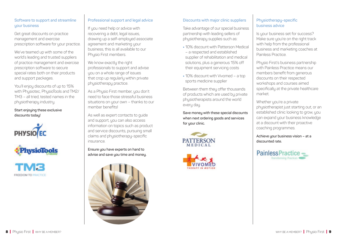#### **Software to support and streamline your business**

Get great discounts on practice management and exercise prescription software for your practice.

We've teamed up with some of the world's leading and trusted suppliers of practice management and exercise prescription software to secure special rates both on their products and support packages.

You'll enjoy discounts of up to 15% with Physiotec, PhysioTools and TM2/ TM3 – all tried, tested names in the physiotherapy industry.

#### **Start enjoying these exclusive discounts today!**





**FREEDOM TO PRACTICE** 

#### **Professional support and legal advice**

If you need help or advice with recovering a debt, legal issues. drawing up a self-employed associate agreement and marketing your business, this is all available to our Phusio First members.

We know exactly the right professionals to support and advise you on a whole range of issues that crop up regularly within private physiotherapy practice.

As a Physio First member, you don't need to face those stressful business situations on your own – thanks to our member benefits!

As well as expert contacts to guide and support, you can also access information on topics such as product and service discounts, pursuing small claims and physiotherapy-specific insurance.

**Ensure you have experts on hand to advise and save you time and money.**



#### **Discounts with major clinic suppliers**

Take advantage of our special business partnership with leading sellers of physiotherapy supplies such as:

- **•** 10% discount with Patterson Medical – a respected and established supplier of rehabilitation and medical solutions, plus a generous 15% off their equipment servicing costs
- **•** 10% discount with Vivomed a top sports medicine supplier

Between them they offer thousands of products which are used by private physiotherapists around the world every day.

**Save money with these special discounts when next ordering goods and services**  for your clinic.





#### **Physiotherapy-specific business advice**

Is your business set for success? Make sure you're on the right track with help from the professional business and marketing coaches at Painless Practice.

Physio First's business partnership with Painless Practice means our members benefit from generous discounts on their respected workshops and courses aimed specifically at the private healthcare market.

Whether you're a private physiotherapist just starting out, or an established clinic looking to grow, you can expand your business knowledge at a discount with their proactive coaching programmes.

**Achieve your business vision – at a discounted rate.**

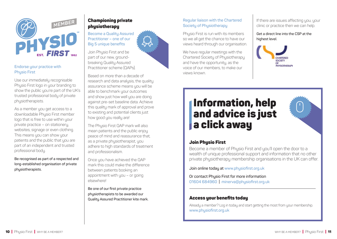

#### **Endorse your practice with Physio First**

Use our immediately recognisable Physio First logo in your branding to show the public you're part of the UK's trusted professional body of private physiotherapists.

As a member you get access to a downloadable Physio First member logo that is free to use within your private practice – on stationery, websites, signage or even clothing. This means you can show your patients and the public that you are part of an independent and trusted professional body.

**Be recognised as part of a respected and long-established organisation of private physiotherapists.** 

# Championing private **physiotherapy**

**Become a Quality Assured Practitioner – one of our Big 5 unique benefits** 

Join Physio First and be part of our new, groundbreaking Quality Assured Practitioner scheme (QAPs).

Based on more than a decade of research and data analysis, the quality assurance scheme means you will be able to benchmark your outcomes and show just how well you are doing against pre-set baseline data. Achieve this quality mark of approval and prove to existing and potential clients just how good you really are!

The Phusio First QAP mark will also mean patients and the public enjoy peace of mind and reassurance that, as a private physiotherapist, you adhere to high standards of treatment and professionalism.

Once you have achieved the QAP mark this could make the difference between patients booking an appointment with you – or going elsewhere!

**Be one of our first private practice physiotherapists to be awarded our Quality Assured Practitioner kite mark.**

#### **Regular liaison with the Chartered Society of Physiotherapy**

Phusio First is run with its members so we all get the chance to have our views heard through our organisation.

> We have regular meetings with the Chartered Society of Physiotherapy and have the opportunity, as the voice of our members, to make our views known.

If there are issues affecting you, your clinic or practice then we can help.

**Get a direct line into the CSP at the** 



# Information, help and advice is just a click away



## **Join Phusio First**

Become a member of Physio First and you'll open the door to a wealth of unique professional support and information that no other private physiotherapy membership organisations in the UK can offer.

**Join online today at [www.physiofirst.org.uk](http://www.physiofirst.org.uk)**

**Or contact Physio First for more information 01604 684960 | [minerva@physiofirst.org.uk](mailto:minerva@physiofirst.org.uk)**

## Access your benefits today

Already a member? Log in today and start getting the most from your membership. **[www.physiofirst.org.uk](http://www.physiofirst.org.uk)**